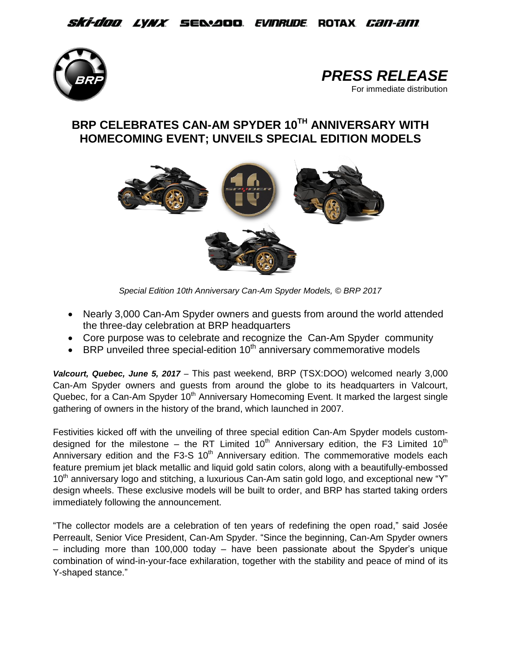## *Ski-doo Lynx S*e&aoo *Evinrude* Rotax *Can-am*





## **BRP CELEBRATES CAN-AM SPYDER 10TH ANNIVERSARY WITH HOMECOMING EVENT; UNVEILS SPECIAL EDITION MODELS**



*Special Edition 10th Anniversary Can-Am Spyder Models, © BRP 2017*

- Nearly 3,000 Can-Am Spyder owners and quests from around the world attended the three-day celebration at BRP headquarters
- Core purpose was to celebrate and recognize the Can-Am Spyder community
- $\bullet$  BRP unveiled three special-edition 10<sup>th</sup> anniversary commemorative models

*Valcourt, Quebec, June 5, 2017* – This past weekend, BRP (TSX:DOO) welcomed nearly 3,000 Can-Am Spyder owners and guests from around the globe to its headquarters in Valcourt, Quebec, for a Can-Am Spyder 10<sup>th</sup> Anniversary Homecoming Event. It marked the largest single gathering of owners in the history of the brand, which launched in 2007.

Festivities kicked off with the unveiling of three special edition Can-Am Spyder models customdesigned for the milestone – the RT Limited 10<sup>th</sup> Anniversary edition, the F3 Limited 10<sup>th</sup> Anniversary edition and the F3-S  $10<sup>th</sup>$  Anniversary edition. The commemorative models each feature premium jet black metallic and liquid gold satin colors, along with a beautifully-embossed  $10<sup>th</sup>$  anniversary logo and stitching, a luxurious Can-Am satin gold logo, and exceptional new "Y" design wheels. These exclusive models will be built to order, and BRP has started taking orders immediately following the announcement.

"The collector models are a celebration of ten years of redefining the open road," said Josée Perreault, Senior Vice President, Can-Am Spyder. "Since the beginning, Can-Am Spyder owners – including more than 100,000 today – have been passionate about the Spyder's unique combination of wind-in-your-face exhilaration, together with the stability and peace of mind of its Y-shaped stance."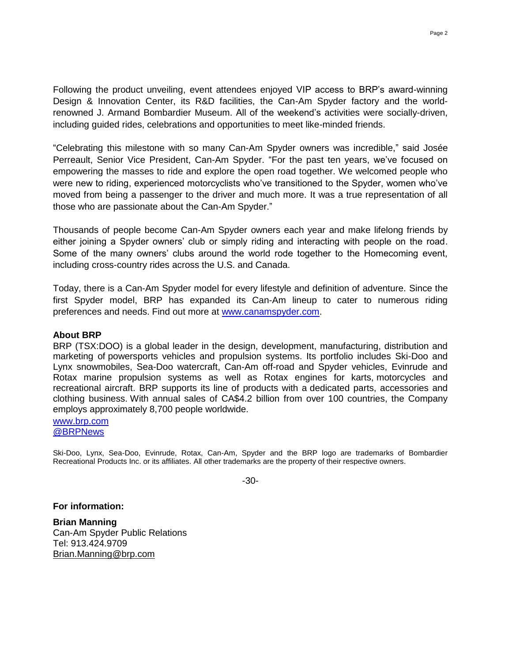Following the product unveiling, event attendees enjoyed VIP access to BRP's award-winning Design & Innovation Center, its R&D facilities, the Can-Am Spyder factory and the worldrenowned J. Armand Bombardier Museum. All of the weekend's activities were socially-driven, including guided rides, celebrations and opportunities to meet like-minded friends.

"Celebrating this milestone with so many Can-Am Spyder owners was incredible," said Josée Perreault, Senior Vice President, Can-Am Spyder. "For the past ten years, we've focused on empowering the masses to ride and explore the open road together. We welcomed people who were new to riding, experienced motorcyclists who've transitioned to the Spyder, women who've moved from being a passenger to the driver and much more. It was a true representation of all those who are passionate about the Can-Am Spyder."

Thousands of people become Can-Am Spyder owners each year and make lifelong friends by either joining a Spyder owners' club or simply riding and interacting with people on the road. Some of the many owners' clubs around the world rode together to the Homecoming event, including cross-country rides across the U.S. and Canada.

Today, there is a Can-Am Spyder model for every lifestyle and definition of adventure. Since the first Spyder model, BRP has expanded its Can-Am lineup to cater to numerous riding preferences and needs. Find out more at [www.canamspyder.com.](http://www.canamspyder.com/)

## **About BRP**

BRP (TSX:DOO) is a global leader in the design, development, manufacturing, distribution and marketing of powersports vehicles and propulsion systems. Its portfolio includes Ski-Doo and Lynx snowmobiles, Sea-Doo watercraft, Can-Am off-road and Spyder vehicles, Evinrude and Rotax marine propulsion systems as well as Rotax engines for karts, motorcycles and recreational aircraft. BRP supports its line of products with a dedicated parts, accessories and clothing business. With annual sales of CA\$4.2 billion from over 100 countries, the Company employs approximately 8,700 people worldwide.

[www.brp.com](http://www.brp.com/) [@BRPNews](https://twitter.com/BRPnews)

Ski-Doo, Lynx, Sea-Doo, Evinrude, Rotax, Can-Am, Spyder and the BRP logo are trademarks of Bombardier Recreational Products Inc. or its affiliates. All other trademarks are the property of their respective owners.

-30-

**For information:**

**Brian Manning** Can-Am Spyder Public Relations Tel: 913.424.9709 [Brian.Manning@brp.com](mailto:Brian.Manning@brp.com)